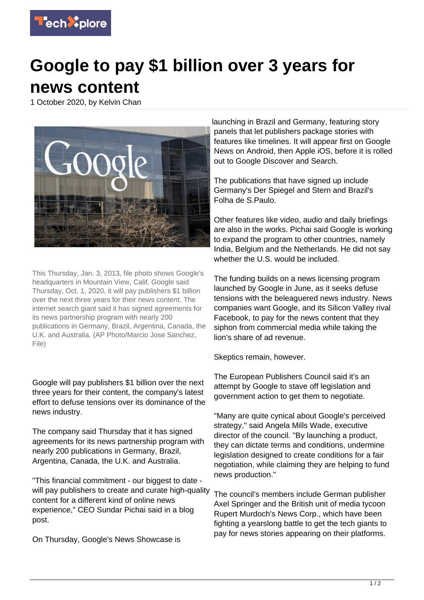

## **Google to pay \$1 billion over 3 years for news content**

1 October 2020, by Kelvin Chan



This Thursday, Jan. 3, 2013, file photo shows Google's headquarters in Mountain View, Calif. Google said Thursday, Oct. 1, 2020, it will pay publishers \$1 billion over the next three years for their news content. The internet search giant said it has signed agreements for its news partnership program with nearly 200 publications in Germany, Brazil, Argentina, Canada, the U.K. and Australia. (AP Photo/Marcio Jose Sanchez, File)

Google will pay publishers \$1 billion over the next three years for their content, the company's latest effort to defuse tensions over its dominance of the news industry.

The company said Thursday that it has signed agreements for its news partnership program with nearly 200 publications in Germany, Brazil, Argentina, Canada, the U.K. and Australia.

"This financial commitment - our biggest to date will pay publishers to create and curate high-quality content for a different kind of online news experience," CEO Sundar Pichai said in a blog post.

On Thursday, Google's News Showcase is

launching in Brazil and Germany, featuring story panels that let publishers package stories with features like timelines. It will appear first on Google News on Android, then Apple iOS, before it is rolled out to Google Discover and Search.

The publications that have signed up include Germany's Der Spiegel and Stern and Brazil's Folha de S.Paulo.

Other features like video, audio and daily briefings are also in the works. Pichai said Google is working to expand the program to other countries, namely India, Belgium and the Netherlands. He did not say whether the U.S. would be included.

The funding builds on a news licensing program launched by Google in June, as it seeks defuse tensions with the beleaguered news industry. News companies want Google, and its Silicon Valley rival Facebook, to pay for the news content that they siphon from commercial media while taking the lion's share of ad revenue.

Skeptics remain, however.

The European Publishers Council said it's an attempt by Google to stave off legislation and government action to get them to negotiate.

"Many are quite cynical about Google's perceived strategy," said Angela Mills Wade, executive director of the council. "By launching a product, they can dictate terms and conditions, undermine legislation designed to create conditions for a fair negotiation, while claiming they are helping to fund news production."

The council's members include German publisher Axel Springer and the British unit of media tycoon Rupert Murdoch's News Corp., which have been fighting a yearslong battle to get the tech giants to pay for news stories appearing on their platforms.